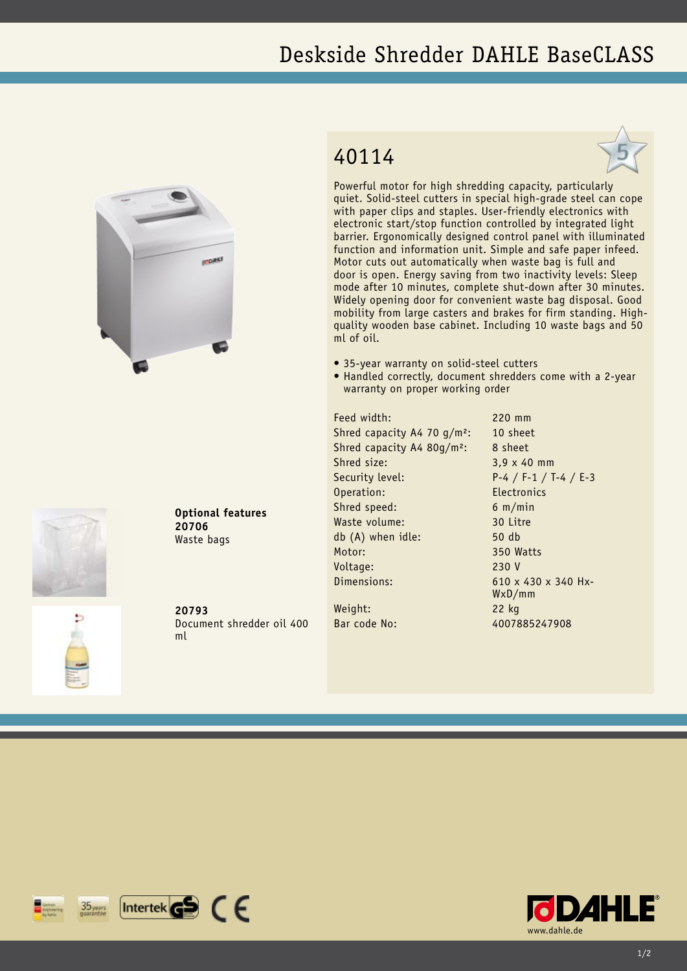## Deskside Shredder DAHLE BaseCLASS







Powerful motor for high shredding capacity, particularly quiet. Solid-steel cutters in special high-grade steel can cope with paper clips and staples. User-friendly electronics with electronic start/stop function controlled by integrated light barrier. Ergonomically designed control panel with illuminated function and information unit. Simple and safe paper infeed. Motor cuts out automatically when waste bag is full and door is open. Energy saving from two inactivity levels: Sleep mode after 10 minutes, complete shut-down after 30 minutes. Widely opening door for convenient waste bag disposal. Good mobility from large casters and brakes for firm standing. Highquality wooden base cabinet. Including 10 waste bags and 50 ml of oil.

- 35-year warranty on solid-steel cutters
- Handled correctly, document shredders come with a 2-year warranty on proper working order

Feed width: 220 mm Shred capacity A4 70 g/m<sup>2</sup>: 10 sheet Shred capacity A4 80g/m<sup>2</sup>: 8 sheet Shred size: 3,9 x 40 mm Security level: P-4 / F-1 / T-4 / E-3 Operation: Electronics Shred speed: 6 m/min Waste volume: 30 Litre db (A) when idle: 50 db Motor: 350 Watts Voltage: 230 V Dimensions: 610 x 430 x 340 Hx-Weight: 22 kg

WxD/mm Bar code No: 4007885247908

Document shredder oil 400

**20793**

**20706** Waste bags

**Optional features**

ml





 $[$ Intertek $\mathbf{G}$  $\mathbf{S}$   $\in$   $\in$